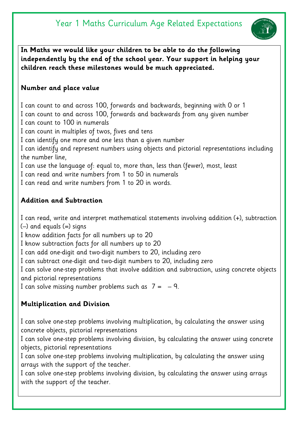# Year 1 Maths Curriculum Age Related Expectations



**In Maths we would like your children to be able to do the following independently by the end of the school year. Your support in helping your children reach these milestones would be much appreciated.** 

# **Number and place value**

I can count to and across 100, forwards and backwards, beginning with 0 or 1 I can count to and across 100, forwards and backwards from any given number I can count to 100 in numerals

I can count in multiples of twos, fives and tens

I can identify one more and one less than a given number

I can identify and represent numbers using objects and pictorial representations including the number line,

I can use the language of: equal to, more than, less than (fewer), most, least

I can read and write numbers from 1 to 50 in numerals

I can read and write numbers from 1 to 20 in words.

# **Addition and Subtraction**

I can read, write and interpret mathematical statements involving addition (+), subtraction (–) and equals (=) signs

I know addition facts for all numbers up to 20

I know subtraction facts for all numbers up to 20

I can add one-digit and two-digit numbers to 20, including zero

I can subtract one-digit and two-digit numbers to 20, including zero

I can solve one-step problems that involve addition and subtraction, using concrete objects and pictorial representations

I can solve missing number problems such as  $7 = -9$ .

# **Multiplication and Division**

I can solve one-step problems involving multiplication, by calculating the answer using concrete objects, pictorial representations

I can solve one-step problems involving division, by calculating the answer using concrete objects, pictorial representations

I can solve one-step problems involving multiplication, by calculating the answer using arrays with the support of the teacher.

I can solve one-step problems involving division, by calculating the answer using arrays with the support of the teacher.